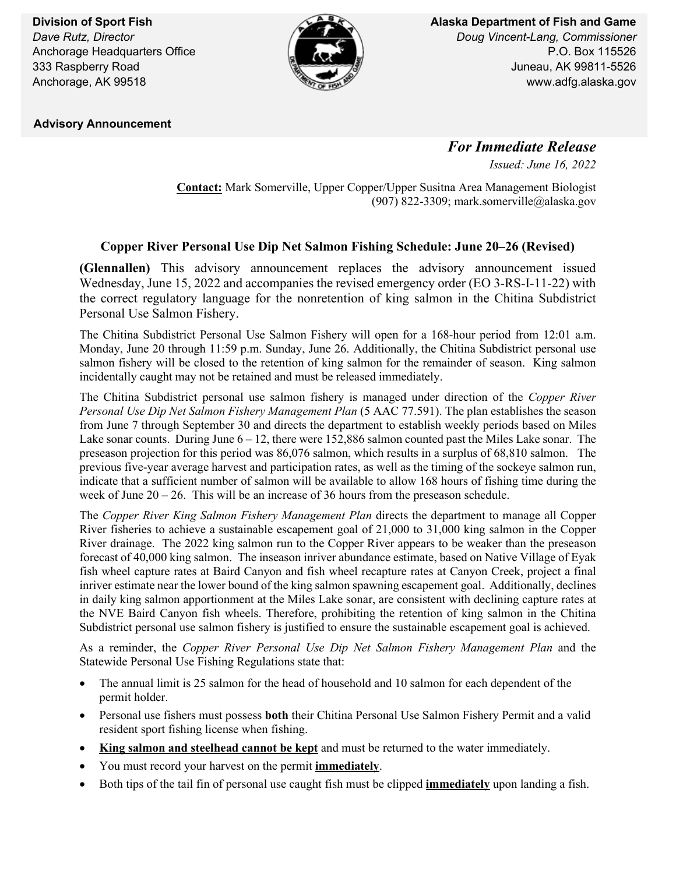**Division of Sport Fish** *Dave Rutz, Director* Anchorage Headquarters Office 333 Raspberry Road Anchorage, AK 99518



**Alaska Department of Fish and Game** *Doug Vincent-Lang, Commissioner* P.O. Box 115526 Juneau, AK 99811-5526 www.adfg.alaska.gov

 **Advisory Announcement**

*For Immediate Release Issued: June 16, 2022*

**Contact:** Mark Somerville, Upper Copper/Upper Susitna Area Management Biologist (907) 822-3309; mark.somerville@alaska.gov

## **Copper River Personal Use Dip Net Salmon Fishing Schedule: June 20–26 (Revised)**

**(Glennallen)** This advisory announcement replaces the advisory announcement issued Wednesday, June 15, 2022 and accompanies the revised emergency order (EO 3-RS-I-11-22) with the correct regulatory language for the nonretention of king salmon in the Chitina Subdistrict Personal Use Salmon Fishery.

The Chitina Subdistrict Personal Use Salmon Fishery will open for a 168-hour period from 12:01 a.m. Monday, June 20 through 11:59 p.m. Sunday, June 26. Additionally, the Chitina Subdistrict personal use salmon fishery will be closed to the retention of king salmon for the remainder of season. King salmon incidentally caught may not be retained and must be released immediately.

The Chitina Subdistrict personal use salmon fishery is managed under direction of the *Copper River Personal Use Dip Net Salmon Fishery Management Plan* (5 AAC 77.591). The plan establishes the season from June 7 through September 30 and directs the department to establish weekly periods based on Miles Lake sonar counts. During June  $6 - 12$ , there were 152,886 salmon counted past the Miles Lake sonar. The preseason projection for this period was 86,076 salmon, which results in a surplus of 68,810 salmon. The previous five-year average harvest and participation rates, as well as the timing of the sockeye salmon run, indicate that a sufficient number of salmon will be available to allow 168 hours of fishing time during the week of June 20 – 26. This will be an increase of 36 hours from the preseason schedule.

The *Copper River King Salmon Fishery Management Plan* directs the department to manage all Copper River fisheries to achieve a sustainable escapement goal of 21,000 to 31,000 king salmon in the Copper River drainage. The 2022 king salmon run to the Copper River appears to be weaker than the preseason forecast of 40,000 king salmon. The inseason inriver abundance estimate, based on Native Village of Eyak fish wheel capture rates at Baird Canyon and fish wheel recapture rates at Canyon Creek, project a final inriver estimate near the lower bound of the king salmon spawning escapement goal. Additionally, declines in daily king salmon apportionment at the Miles Lake sonar, are consistent with declining capture rates at the NVE Baird Canyon fish wheels. Therefore, prohibiting the retention of king salmon in the Chitina Subdistrict personal use salmon fishery is justified to ensure the sustainable escapement goal is achieved.

As a reminder, the *Copper River Personal Use Dip Net Salmon Fishery Management Plan* and the Statewide Personal Use Fishing Regulations state that:

- The annual limit is 25 salmon for the head of household and 10 salmon for each dependent of the permit holder.
- Personal use fishers must possess **both** their Chitina Personal Use Salmon Fishery Permit and a valid resident sport fishing license when fishing.
- **King salmon and steelhead cannot be kept** and must be returned to the water immediately.
- You must record your harvest on the permit **immediately**.
- Both tips of the tail fin of personal use caught fish must be clipped **immediately** upon landing a fish.